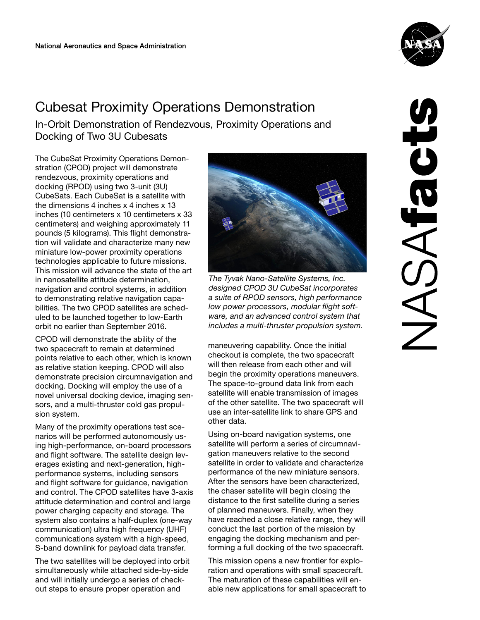# Cubesat Proximity Operations Demonstration

In-Orbit Demonstration of Rendezvous, Proximity Operations and Docking of Two 3U Cubesats

The CubeSat Proximity Operations Demonstration (CPOD) project will demonstrate rendezvous, proximity operations and docking (RPOD) using two 3-unit (3U) CubeSats. Each CubeSat is a satellite with the dimensions 4 inches x 4 inches x 13 inches (10 centimeters x 10 centimeters x 33 centimeters) and weighing approximately 11 pounds (5 kilograms). This flight demonstration will validate and characterize many new miniature low-power proximity operations technologies applicable to future missions. This mission will advance the state of the art in nanosatellite attitude determination, navigation and control systems, in addition to demonstrating relative navigation capabilities. The two CPOD satellites are scheduled to be launched together to low-Earth orbit no earlier than September 2016.

CPOD will demonstrate the ability of the two spacecraft to remain at determined points relative to each other, which is known as relative station keeping. CPOD will also demonstrate precision circumnavigation and docking. Docking will employ the use of a novel universal docking device, imaging sensors, and a multi-thruster cold gas propulsion system.

Many of the proximity operations test scenarios will be performed autonomously using high-performance, on-board processors and flight software. The satellite design leverages existing and next-generation, highperformance systems, including sensors and flight software for guidance, navigation and control. The CPOD satellites have 3-axis attitude determination and control and large power charging capacity and storage. The system also contains a half-duplex (one-way communication) ultra high frequency (UHF) communications system with a high-speed, S-band downlink for payload data transfer.

The two satellites will be deployed into orbit simultaneously while attached side-by-side and will initially undergo a series of checkout steps to ensure proper operation and



maneuvering capability. Once the initial checkout is complete, the two spacecraft will then release from each other and will begin the proximity operations maneuvers. The space-to-ground data link from each satellite will enable transmission of images of the other satellite. The two spacecraft will use an inter-satellite link to share GPS and other data.

Using on-board navigation systems, one satellite will perform a series of circumnavigation maneuvers relative to the second satellite in order to validate and characterize performance of the new miniature sensors. After the sensors have been characterized, the chaser satellite will begin closing the distance to the first satellite during a series of planned maneuvers. Finally, when they have reached a close relative range, they will conduct the last portion of the mission by engaging the docking mechanism and performing a full docking of the two spacecraft.

This mission opens a new frontier for exploration and operations with small spacecraft. The maturation of these capabilities will enable new applications for small spacecraft to